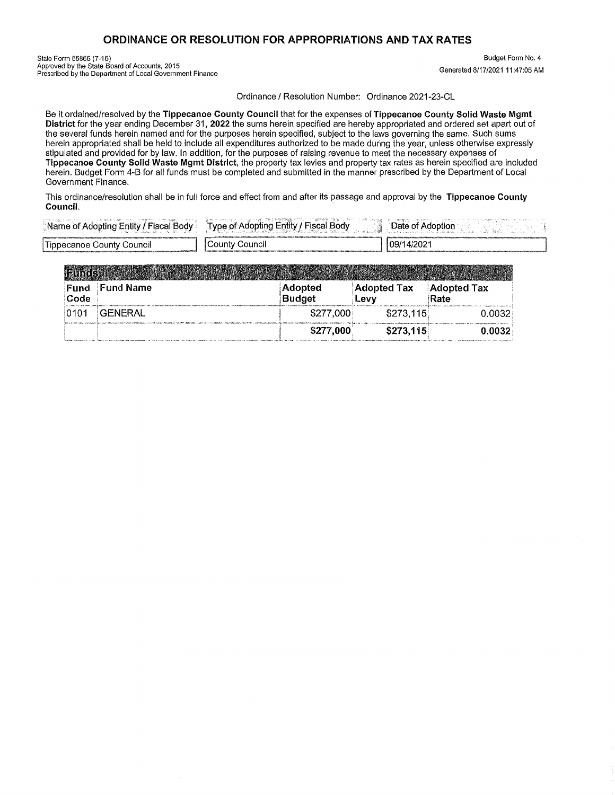## ORDINANCE OR RESOLUTION FOR APPROPRIATIONS AND TAX RATES

State Form 55865 (7-15)<br>Approved by the State Board of Accounts, 2015<br>Prescribed by the Department of Local Government Finance

Budget Form No. 4 Generated 8/17/2021 11:47:05 AM

Ordinance / Resolution Number: Ordinance 2021-23-CL

Be it ordained/resolved by the Tippecanoe County Council that for the expenses of Tippecanoe County Solid Waste Mamt District for the year ending December 31, 2022 the sums herein specified are hereby appropriated and ordered set apart out of the several funds herein named and for the purposes herein specified, subject to the laws governing the same. Such sums herein appropriated shall be held to include all expenditures authorized to be made during the year, unless otherwise expressly stipulated and provided for by law. In addition, for the purposes of raising revenue to meet the necessary expenses of Tippecanoe County Solid Waste Mgmt District, the property tax levies and property tax rates as herein specified are included herein. Budget Form 4-B for all funds must be completed and submitted in the manner prescribed by the Department of Local Government Finance.

This ordinance/resolution shall be in full force and effect from and after its passage and approval by the Tippecanoe County Council.

| - Body<br>⊿ Adopting Entity ′<br>Name<br>. ОГ | <b>Entity</b><br><b>VDA</b><br>30d∨<br>it ugh |           |
|-----------------------------------------------|-----------------------------------------------|-----------|
| -<br>County Council<br><b>Ilppecanoe</b>      | ⊃ount∨<br>Jouncil                             | 09/14/202 |

| Fund<br>Code | <b>Fund Name</b> | <b>Adopted</b><br><b>Budget</b> | <b>Adopted Tax</b><br>Levy | <b>Adopted Tax</b><br>Rate |
|--------------|------------------|---------------------------------|----------------------------|----------------------------|
| 0101         | GENERAL          | \$277,000                       | \$273,115                  | 0.0032                     |
|              |                  | \$277,000                       | \$273,115                  | 0.0032                     |